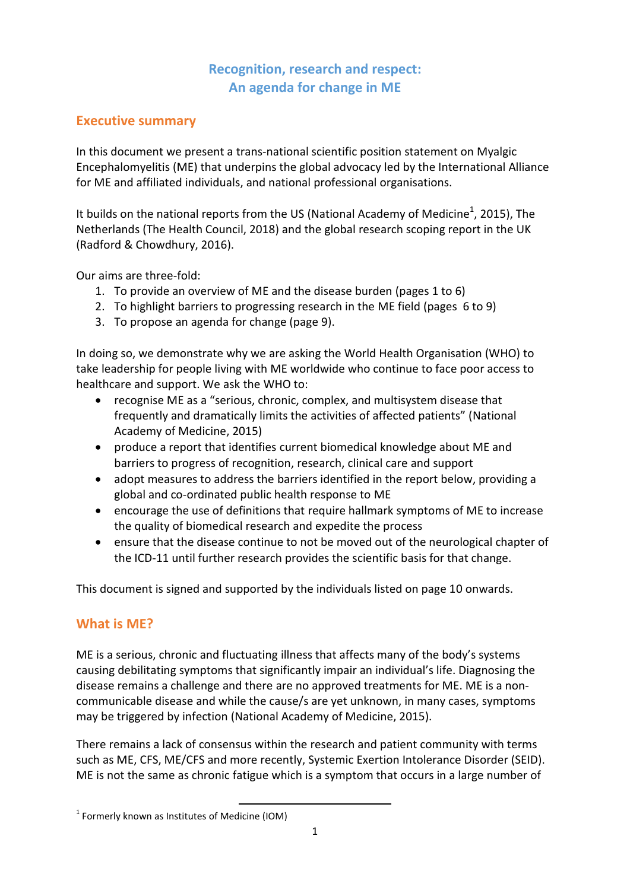# **Recognition, research and respect: An agenda for change in ME**

# **Executive summary**

In this document we present a trans-national scientific position statement on Myalgic Encephalomyelitis (ME) that underpins the global advocacy led by the International Alliance for ME and affiliated individuals, and national professional organisations.

It builds on the national reports from the US (National Academy of Medicine<sup>1</sup>, 2015), The Netherlands (The Health Council, 2018) and the global research scoping report in the UK (Radford & Chowdhury, 2016).

Our aims are three-fold:

- 1. To provide an overview of ME and the disease burden (pages 1 to 6)
- 2. To highlight barriers to progressing research in the ME field (pages 6 to 9)
- 3. To propose an agenda for change (page 9).

In doing so, we demonstrate why we are asking the World Health Organisation (WHO) to take leadership for people living with ME worldwide who continue to face poor access to healthcare and support. We ask the WHO to:

- recognise ME as a "serious, chronic, complex, and multisystem disease that frequently and dramatically limits the activities of affected patients" (National Academy of Medicine, 2015)
- produce a report that identifies current biomedical knowledge about ME and barriers to progress of recognition, research, clinical care and support
- adopt measures to address the barriers identified in the report below, providing a global and co-ordinated public health response to ME
- encourage the use of definitions that require hallmark symptoms of ME to increase the quality of biomedical research and expedite the process
- ensure that the disease continue to not be moved out of the neurological chapter of the ICD-11 until further research provides the scientific basis for that change.

This document is signed and supported by the individuals listed on page 10 onwards.

## **What is ME?**

ME is a serious, chronic and fluctuating illness that affects many of the body's systems causing debilitating symptoms that significantly impair an individual's life. Diagnosing the disease remains a challenge and there are no approved treatments for ME. ME is a noncommunicable disease and while the cause/s are yet unknown, in many cases, symptoms may be triggered by infection (National Academy of Medicine, 2015).

There remains a lack of consensus within the research and patient community with terms such as ME, CFS, ME/CFS and more recently, Systemic Exertion Intolerance Disorder (SEID). ME is not the same as chronic fatigue which is a symptom that occurs in a large number of

 $\overline{\phantom{a}}$ <sup>1</sup> Formerly known as Institutes of Medicine (IOM)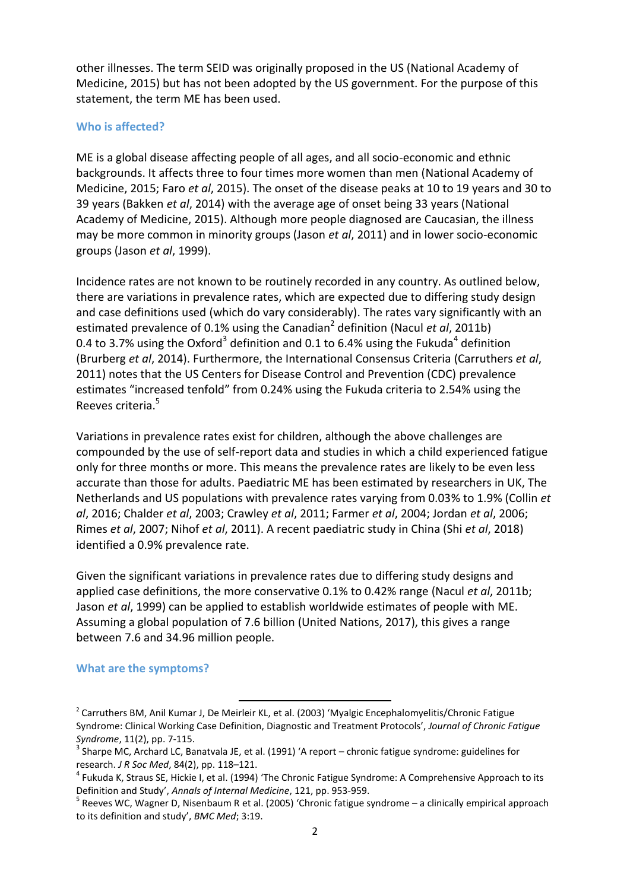other illnesses. The term SEID was originally proposed in the US (National Academy of Medicine, 2015) but has not been adopted by the US government. For the purpose of this statement, the term ME has been used.

#### **Who is affected?**

ME is a global disease affecting people of all ages, and all socio-economic and ethnic backgrounds. It affects three to four times more women than men (National Academy of Medicine, 2015; Faro *et al*, 2015). The onset of the disease peaks at 10 to 19 years and 30 to 39 years (Bakken *et al*, 2014) with the average age of onset being 33 years (National Academy of Medicine, 2015). Although more people diagnosed are Caucasian, the illness may be more common in minority groups (Jason *et al*, 2011) and in lower socio-economic groups (Jason *et al*, 1999).

Incidence rates are not known to be routinely recorded in any country. As outlined below, there are variations in prevalence rates, which are expected due to differing study design and case definitions used (which do vary considerably). The rates vary significantly with an estimated prevalence of 0.1% using the Canadian<sup>2</sup> definition (Nacul *et al*, 2011b) 0.4 to 3.7% using the Oxford<sup>3</sup> definition and 0.1 to 6.4% using the Fukuda<sup>4</sup> definition (Brurberg *et al*, 2014). Furthermore, the International Consensus Criteria (Carruthers *et al*, 2011) notes that the US Centers for Disease Control and Prevention (CDC) prevalence estimates "increased tenfold" from 0.24% using the Fukuda criteria to 2.54% using the Reeves criteria.<sup>5</sup>

Variations in prevalence rates exist for children, although the above challenges are compounded by the use of self-report data and studies in which a child experienced fatigue only for three months or more. This means the prevalence rates are likely to be even less accurate than those for adults. Paediatric ME has been estimated by researchers in UK, The Netherlands and US populations with prevalence rates varying from 0.03% to 1.9% (Collin *et al*, 2016; Chalder *et al*, 2003; Crawley *et al*, 2011; Farmer *et al*, 2004; Jordan *et al*, 2006; Rimes *et al*, 2007; Nihof *et al*, 2011). A recent paediatric study in China (Shi *et al*, 2018) identified a 0.9% prevalence rate.

Given the significant variations in prevalence rates due to differing study designs and applied case definitions, the more conservative 0.1% to 0.42% range (Nacul *et al*, 2011b; Jason *et al*, 1999) can be applied to establish worldwide estimates of people with ME. Assuming a global population of 7.6 billion (United Nations, 2017), this gives a range between 7.6 and 34.96 million people.

#### **What are the symptoms?**

 $\overline{a}$ 

<sup>&</sup>lt;sup>2</sup> Carruthers BM, Anil Kumar J, De Meirleir KL, et al. (2003) 'Myalgic Encephalomyelitis/Chronic Fatigue Syndrome: Clinical Working Case Definition, Diagnostic and Treatment Protocols', *Journal of Chronic Fatigue Syndrome*, 11(2), pp. 7-115.

<sup>&</sup>lt;sup>3</sup> Sharpe MC, Archard LC, Banatvala JE, et al. (1991) 'A report – chronic fatigue syndrome: guidelines for research. *J R Soc Med*, 84(2), pp. 118–121.

<sup>&</sup>lt;sup>4</sup> Fukuda K, Straus SE, Hickie I, et al. (1994) 'The Chronic Fatigue Syndrome: A Comprehensive Approach to its Definition and Study', *Annals of Internal Medicine*, 121, pp. 953-959.

<sup>&</sup>lt;sup>5</sup> Reeves WC, Wagner D, Nisenbaum R et al. (2005) 'Chronic fatigue syndrome – a clinically empirical approach to its definition and study', *BMC Med*; 3:19.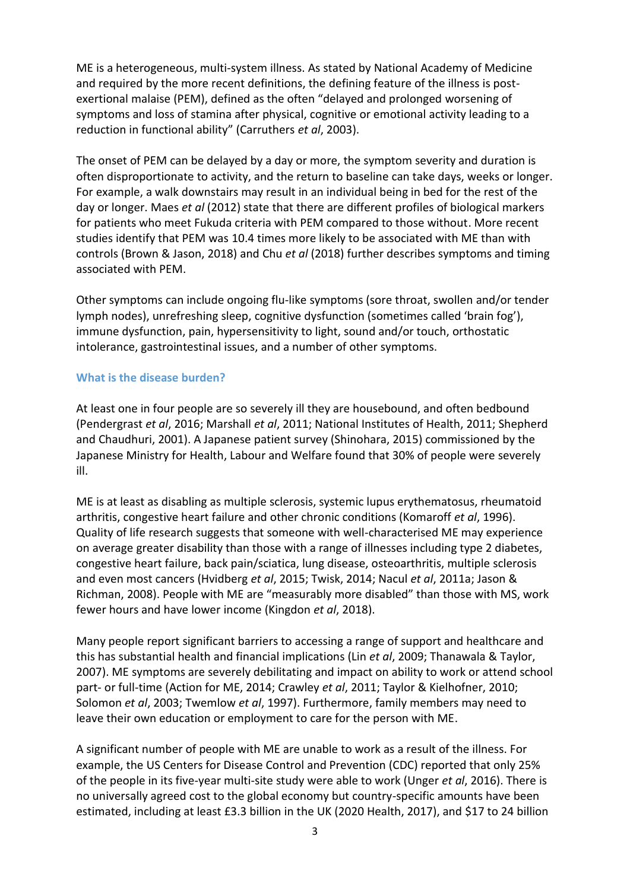ME is a heterogeneous, multi-system illness. As stated by National Academy of Medicine and required by the more recent definitions, the defining feature of the illness is postexertional malaise (PEM), defined as the often "delayed and prolonged worsening of symptoms and loss of stamina after physical, cognitive or emotional activity leading to a reduction in functional ability" (Carruthers *et al*, 2003).

The onset of PEM can be delayed by a day or more, the symptom severity and duration is often disproportionate to activity, and the return to baseline can take days, weeks or longer. For example, a walk downstairs may result in an individual being in bed for the rest of the day or longer. Maes *et al* (2012) state that there are different profiles of biological markers for patients who meet Fukuda criteria with PEM compared to those without. More recent studies identify that PEM was 10.4 times more likely to be associated with ME than with controls (Brown & Jason, 2018) and Chu *et al* (2018) further describes symptoms and timing associated with PEM.

Other symptoms can include ongoing flu-like symptoms (sore throat, swollen and/or tender lymph nodes), unrefreshing sleep, cognitive dysfunction (sometimes called 'brain fog'), immune dysfunction, pain, hypersensitivity to light, sound and/or touch, orthostatic intolerance, gastrointestinal issues, and a number of other symptoms.

### **What is the disease burden?**

At least one in four people are so severely ill they are housebound, and often bedbound (Pendergrast *et al*, 2016; Marshall *et al*, 2011; National Institutes of Health, 2011; Shepherd and Chaudhuri, 2001). A Japanese patient survey (Shinohara, 2015) commissioned by the Japanese Ministry for Health, Labour and Welfare found that 30% of people were severely ill.

ME is at least as disabling as multiple sclerosis, systemic lupus erythematosus, rheumatoid arthritis, congestive heart failure and other chronic conditions (Komaroff *et al*, 1996). Quality of life research suggests that someone with well-characterised ME may experience on average greater disability than those with a range of illnesses including type 2 diabetes, congestive heart failure, back pain/sciatica, lung disease, osteoarthritis, multiple sclerosis and even most cancers (Hvidberg *et al*, 2015; Twisk, 2014; Nacul *et al*, 2011a; Jason & Richman, 2008). People with ME are "measurably more disabled" than those with MS, work fewer hours and have lower income (Kingdon *et al*, 2018).

Many people report significant barriers to accessing a range of support and healthcare and this has substantial health and financial implications (Lin *et al*, 2009; Thanawala & Taylor, 2007). ME symptoms are severely debilitating and impact on ability to work or attend school part- or full-time (Action for ME, 2014; Crawley *et al*, 2011; Taylor & Kielhofner, 2010; Solomon *et al*, 2003; Twemlow *et al*, 1997). Furthermore, family members may need to leave their own education or employment to care for the person with ME.

A significant number of people with ME are unable to work as a result of the illness. For example, the US Centers for Disease Control and Prevention (CDC) reported that only 25% of the people in its five-year multi-site study were able to work (Unger *et al*, 2016). There is no universally agreed cost to the global economy but country-specific amounts have been estimated, including at least £3.3 billion in the UK (2020 Health, 2017), and \$17 to 24 billion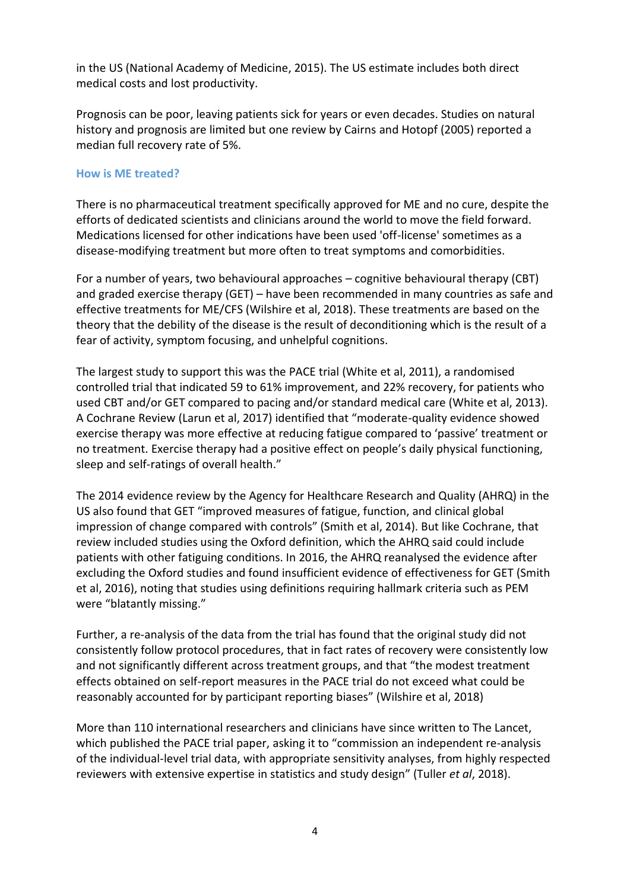in the US (National Academy of Medicine, 2015). The US estimate includes both direct medical costs and lost productivity.

Prognosis can be poor, leaving patients sick for years or even decades. Studies on natural history and prognosis are limited but one review by Cairns and Hotopf (2005) reported a median full recovery rate of 5%.

#### **How is ME treated?**

There is no pharmaceutical treatment specifically approved for ME and no cure, despite the efforts of dedicated scientists and clinicians around the world to move the field forward. Medications licensed for other indications have been used 'off-license' sometimes as a disease-modifying treatment but more often to treat symptoms and comorbidities.

For a number of years, two behavioural approaches – cognitive behavioural therapy (CBT) and graded exercise therapy (GET) – have been recommended in many countries as safe and effective treatments for ME/CFS (Wilshire et al, 2018). These treatments are based on the theory that the debility of the disease is the result of deconditioning which is the result of a fear of activity, symptom focusing, and unhelpful cognitions.

The largest study to support this was the PACE trial (White et al, 2011), a randomised controlled trial that indicated 59 to 61% improvement, and 22% recovery, for patients who used CBT and/or GET compared to pacing and/or standard medical care (White et al, 2013). A Cochrane Review (Larun et al, 2017) identified that "moderate-quality evidence showed exercise therapy was more effective at reducing fatigue compared to 'passive' treatment or no treatment. Exercise therapy had a positive effect on people's daily physical functioning, sleep and self-ratings of overall health."

The 2014 evidence review by the Agency for Healthcare Research and Quality (AHRQ) in the US also found that GET "improved measures of fatigue, function, and clinical global impression of change compared with controls" (Smith et al, 2014). But like Cochrane, that review included studies using the Oxford definition, which the AHRQ said could include patients with other fatiguing conditions. In 2016, the AHRQ reanalysed the evidence after excluding the Oxford studies and found insufficient evidence of effectiveness for GET (Smith et al, 2016), noting that studies using definitions requiring hallmark criteria such as PEM were "blatantly missing."

Further, a re-analysis of the data from the trial has found that the original study did not consistently follow protocol procedures, that in fact rates of recovery were consistently low and not significantly different across treatment groups, and that "the modest treatment effects obtained on self-report measures in the PACE trial do not exceed what could be reasonably accounted for by participant reporting biases" (Wilshire et al, 2018)

More than 110 international researchers and clinicians have since written to The Lancet, which published the PACE trial paper, asking it to "commission an independent re-analysis of the individual-level trial data, with appropriate sensitivity analyses, from highly respected reviewers with extensive expertise in statistics and study design" (Tuller *et al*, 2018).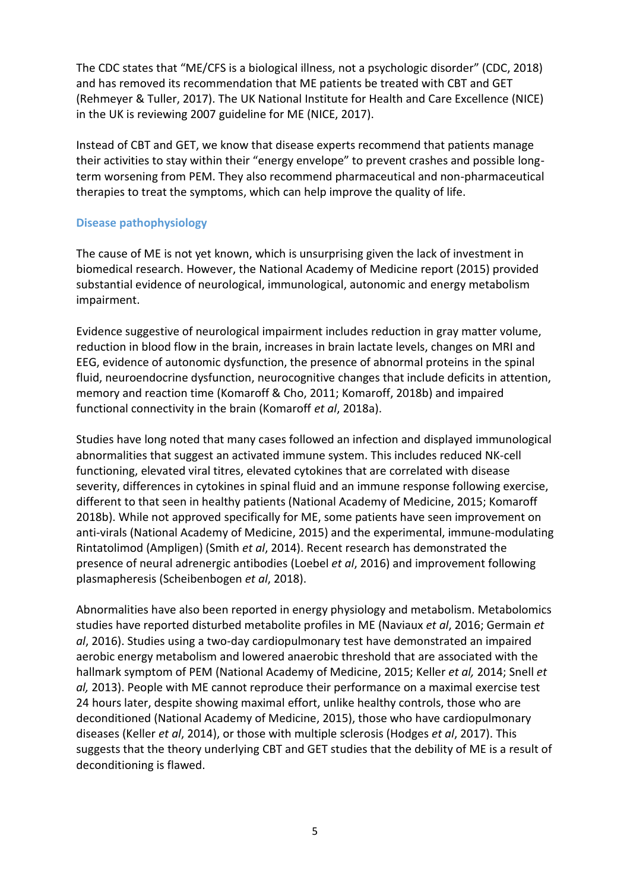The CDC states that "ME/CFS is a biological illness, not a psychologic disorder" (CDC, 2018) and has removed its recommendation that ME patients be treated with CBT and GET (Rehmeyer & Tuller, 2017). The UK National Institute for Health and Care Excellence (NICE) in the UK is reviewing 2007 guideline for ME (NICE, 2017).

Instead of CBT and GET, we know that disease experts recommend that patients manage their activities to stay within their "energy envelope" to prevent crashes and possible longterm worsening from PEM. They also recommend pharmaceutical and non-pharmaceutical therapies to treat the symptoms, which can help improve the quality of life.

### **Disease pathophysiology**

The cause of ME is not yet known, which is unsurprising given the lack of investment in biomedical research. However, the National Academy of Medicine report (2015) provided substantial evidence of neurological, immunological, autonomic and energy metabolism impairment.

Evidence suggestive of neurological impairment includes reduction in gray matter volume, reduction in blood flow in the brain, increases in brain lactate levels, changes on MRI and EEG, evidence of autonomic dysfunction, the presence of abnormal proteins in the spinal fluid, neuroendocrine dysfunction, neurocognitive changes that include deficits in attention, memory and reaction time (Komaroff & Cho, 2011; Komaroff, 2018b) and impaired functional connectivity in the brain (Komaroff *et al*, 2018a).

Studies have long noted that many cases followed an infection and displayed immunological abnormalities that suggest an activated immune system. This includes reduced NK-cell functioning, elevated viral titres, elevated cytokines that are correlated with disease severity, differences in cytokines in spinal fluid and an immune response following exercise, different to that seen in healthy patients (National Academy of Medicine, 2015; Komaroff 2018b). While not approved specifically for ME, some patients have seen improvement on anti-virals (National Academy of Medicine, 2015) and the experimental, immune-modulating Rintatolimod (Ampligen) (Smith *et al*, 2014). Recent research has demonstrated the presence of neural adrenergic antibodies (Loebel *et al*, 2016) and improvement following plasmapheresis (Scheibenbogen *et al*, 2018).

Abnormalities have also been reported in energy physiology and metabolism. Metabolomics studies have reported disturbed metabolite profiles in ME (Naviaux *et al*, 2016; Germain *et al*, 2016). Studies using a two-day cardiopulmonary test have demonstrated an impaired aerobic energy metabolism and lowered anaerobic threshold that are associated with the hallmark symptom of PEM (National Academy of Medicine, 2015; Keller *et al,* 2014; Snell *et al,* 2013). People with ME cannot reproduce their performance on a maximal exercise test 24 hours later, despite showing maximal effort, unlike healthy controls, those who are deconditioned (National Academy of Medicine, 2015), those who have cardiopulmonary diseases (Keller *et al*, 2014), or those with multiple sclerosis (Hodges *et al*, 2017). This suggests that the theory underlying CBT and GET studies that the debility of ME is a result of deconditioning is flawed.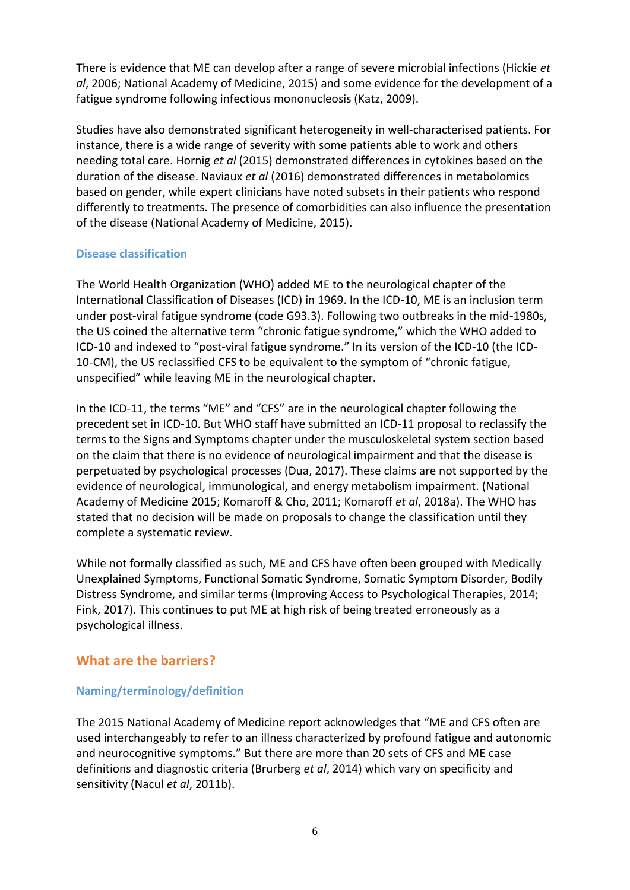There is evidence that ME can develop after a range of severe microbial infections (Hickie *et al*, 2006; National Academy of Medicine, 2015) and some evidence for the development of a fatigue syndrome following infectious mononucleosis (Katz, 2009).

Studies have also demonstrated significant heterogeneity in well-characterised patients. For instance, there is a wide range of severity with some patients able to work and others needing total care. Hornig *et al* (2015) demonstrated differences in cytokines based on the duration of the disease. Naviaux *et al* (2016) demonstrated differences in metabolomics based on gender, while expert clinicians have noted subsets in their patients who respond differently to treatments. The presence of comorbidities can also influence the presentation of the disease (National Academy of Medicine, 2015).

## **Disease classification**

The World Health Organization (WHO) added ME to the neurological chapter of the International Classification of Diseases (ICD) in 1969. In the ICD-10, ME is an inclusion term under post-viral fatigue syndrome (code G93.3). Following two outbreaks in the mid-1980s, the US coined the alternative term "chronic fatigue syndrome," which the WHO added to ICD-10 and indexed to "post-viral fatigue syndrome." In its version of the ICD-10 (the ICD-10-CM), the US reclassified CFS to be equivalent to the symptom of "chronic fatigue, unspecified" while leaving ME in the neurological chapter.

In the ICD-11, the terms "ME" and "CFS" are in the neurological chapter following the precedent set in ICD-10. But WHO staff have submitted an ICD-11 proposal to reclassify the terms to the Signs and Symptoms chapter under the musculoskeletal system section based on the claim that there is no evidence of neurological impairment and that the disease is perpetuated by psychological processes (Dua, 2017). These claims are not supported by the evidence of neurological, immunological, and energy metabolism impairment. (National Academy of Medicine 2015; Komaroff & Cho, 2011; Komaroff *et al*, 2018a). The WHO has stated that no decision will be made on proposals to change the classification until they complete a systematic review.

While not formally classified as such, ME and CFS have often been grouped with Medically Unexplained Symptoms, Functional Somatic Syndrome, Somatic Symptom Disorder, Bodily Distress Syndrome, and similar terms (Improving Access to Psychological Therapies, 2014; Fink, 2017). This continues to put ME at high risk of being treated erroneously as a psychological illness.

## **What are the barriers?**

## **Naming/terminology/definition**

The 2015 National Academy of Medicine report acknowledges that "ME and CFS often are used interchangeably to refer to an illness characterized by profound fatigue and autonomic and neurocognitive symptoms." But there are more than 20 sets of CFS and ME case definitions and diagnostic criteria (Brurberg *et al*, 2014) which vary on specificity and sensitivity (Nacul *et al*, 2011b).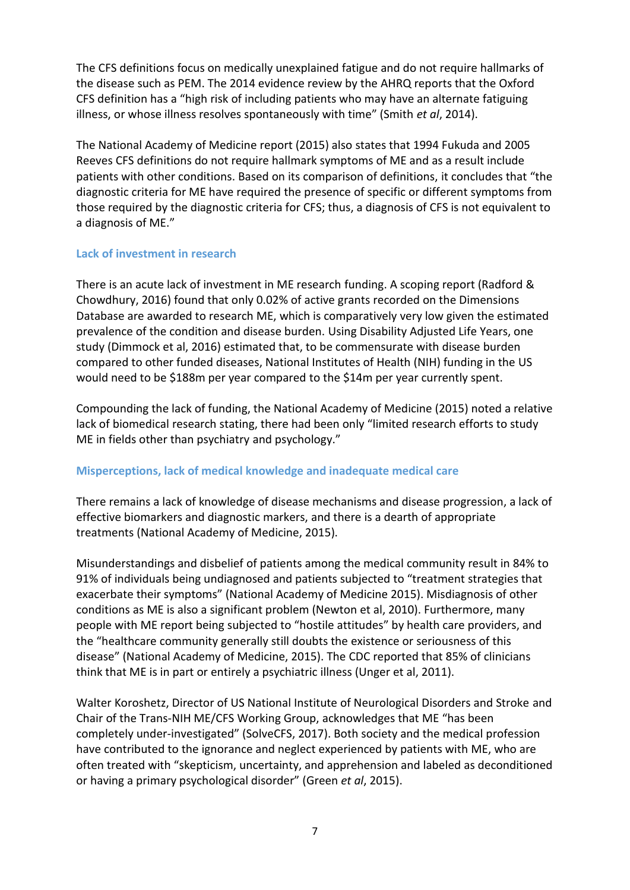The CFS definitions focus on medically unexplained fatigue and do not require hallmarks of the disease such as PEM. The 2014 evidence review by the AHRQ reports that the Oxford CFS definition has a "high risk of including patients who may have an alternate fatiguing illness, or whose illness resolves spontaneously with time" (Smith *et al*, 2014).

The National Academy of Medicine report (2015) also states that 1994 Fukuda and 2005 Reeves CFS definitions do not require hallmark symptoms of ME and as a result include patients with other conditions. Based on its comparison of definitions, it concludes that "the diagnostic criteria for ME have required the presence of specific or different symptoms from those required by the diagnostic criteria for CFS; thus, a diagnosis of CFS is not equivalent to a diagnosis of ME."

## **Lack of investment in research**

There is an acute lack of investment in ME research funding. A scoping report (Radford & Chowdhury, 2016) found that only 0.02% of active grants recorded on the Dimensions Database are awarded to research ME, which is comparatively very low given the estimated prevalence of the condition and disease burden. Using Disability Adjusted Life Years, one study (Dimmock et al, 2016) estimated that, to be commensurate with disease burden compared to other funded diseases, National Institutes of Health (NIH) funding in the US would need to be \$188m per year compared to the \$14m per year currently spent.

Compounding the lack of funding, the National Academy of Medicine (2015) noted a relative lack of biomedical research stating, there had been only "limited research efforts to study ME in fields other than psychiatry and psychology."

## **Misperceptions, lack of medical knowledge and inadequate medical care**

There remains a lack of knowledge of disease mechanisms and disease progression, a lack of effective biomarkers and diagnostic markers, and there is a dearth of appropriate treatments (National Academy of Medicine, 2015).

Misunderstandings and disbelief of patients among the medical community result in 84% to 91% of individuals being undiagnosed and patients subjected to "treatment strategies that exacerbate their symptoms" (National Academy of Medicine 2015). Misdiagnosis of other conditions as ME is also a significant problem (Newton et al, 2010). Furthermore, many people with ME report being subjected to "hostile attitudes" by health care providers, and the "healthcare community generally still doubts the existence or seriousness of this disease" (National Academy of Medicine, 2015). The CDC reported that 85% of clinicians think that ME is in part or entirely a psychiatric illness (Unger et al, 2011).

Walter Koroshetz, Director of US National Institute of Neurological Disorders and Stroke and Chair of the Trans-NIH ME/CFS Working Group, acknowledges that ME "has been completely under-investigated" (SolveCFS, 2017). Both society and the medical profession have contributed to the ignorance and neglect experienced by patients with ME, who are often treated with "skepticism, uncertainty, and apprehension and labeled as deconditioned or having a primary psychological disorder" (Green *et al*, 2015).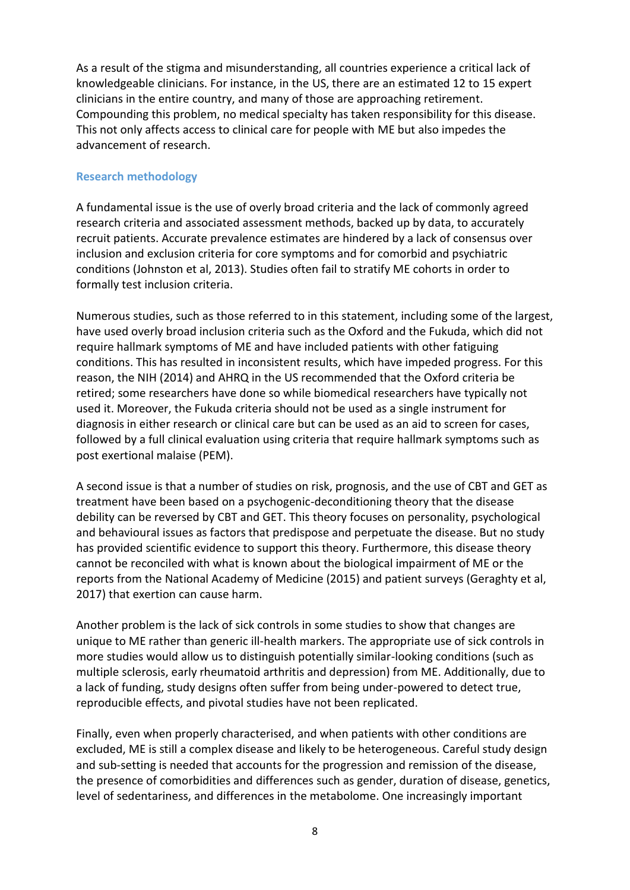As a result of the stigma and misunderstanding, all countries experience a critical lack of knowledgeable clinicians. For instance, in the US, there are an estimated 12 to 15 expert clinicians in the entire country, and many of those are approaching retirement. Compounding this problem, no medical specialty has taken responsibility for this disease. This not only affects access to clinical care for people with ME but also impedes the advancement of research.

### **Research methodology**

A fundamental issue is the use of overly broad criteria and the lack of commonly agreed research criteria and associated assessment methods, backed up by data, to accurately recruit patients. Accurate prevalence estimates are hindered by a lack of consensus over inclusion and exclusion criteria for core symptoms and for comorbid and psychiatric conditions (Johnston et al, 2013). Studies often fail to stratify ME cohorts in order to formally test inclusion criteria.

Numerous studies, such as those referred to in this statement, including some of the largest, have used overly broad inclusion criteria such as the Oxford and the Fukuda, which did not require hallmark symptoms of ME and have included patients with other fatiguing conditions. This has resulted in inconsistent results, which have impeded progress. For this reason, the NIH (2014) and AHRQ in the US recommended that the Oxford criteria be retired; some researchers have done so while biomedical researchers have typically not used it. Moreover, the Fukuda criteria should not be used as a single instrument for diagnosis in either research or clinical care but can be used as an aid to screen for cases, followed by a full clinical evaluation using criteria that require hallmark symptoms such as post exertional malaise (PEM).

A second issue is that a number of studies on risk, prognosis, and the use of CBT and GET as treatment have been based on a psychogenic-deconditioning theory that the disease debility can be reversed by CBT and GET. This theory focuses on personality, psychological and behavioural issues as factors that predispose and perpetuate the disease. But no study has provided scientific evidence to support this theory. Furthermore, this disease theory cannot be reconciled with what is known about the biological impairment of ME or the reports from the National Academy of Medicine (2015) and patient surveys (Geraghty et al, 2017) that exertion can cause harm.

Another problem is the lack of sick controls in some studies to show that changes are unique to ME rather than generic ill-health markers. The appropriate use of sick controls in more studies would allow us to distinguish potentially similar-looking conditions (such as multiple sclerosis, early rheumatoid arthritis and depression) from ME. Additionally, due to a lack of funding, study designs often suffer from being under-powered to detect true, reproducible effects, and pivotal studies have not been replicated.

Finally, even when properly characterised, and when patients with other conditions are excluded, ME is still a complex disease and likely to be heterogeneous. Careful study design and sub-setting is needed that accounts for the progression and remission of the disease, the presence of comorbidities and differences such as gender, duration of disease, genetics, level of sedentariness, and differences in the metabolome. One increasingly important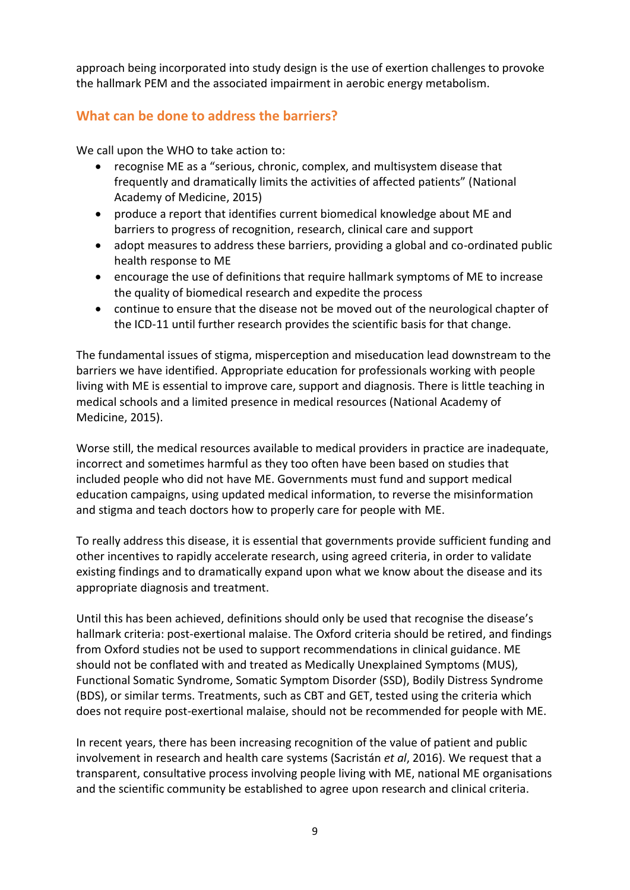approach being incorporated into study design is the use of exertion challenges to provoke the hallmark PEM and the associated impairment in aerobic energy metabolism.

# **What can be done to address the barriers?**

We call upon the WHO to take action to:

- recognise ME as a "serious, chronic, complex, and multisystem disease that frequently and dramatically limits the activities of affected patients" (National Academy of Medicine, 2015)
- produce a report that identifies current biomedical knowledge about ME and barriers to progress of recognition, research, clinical care and support
- adopt measures to address these barriers, providing a global and co-ordinated public health response to ME
- encourage the use of definitions that require hallmark symptoms of ME to increase the quality of biomedical research and expedite the process
- continue to ensure that the disease not be moved out of the neurological chapter of the ICD-11 until further research provides the scientific basis for that change.

The fundamental issues of stigma, misperception and miseducation lead downstream to the barriers we have identified. Appropriate education for professionals working with people living with ME is essential to improve care, support and diagnosis. There is little teaching in medical schools and a limited presence in medical resources (National Academy of Medicine, 2015).

Worse still, the medical resources available to medical providers in practice are inadequate, incorrect and sometimes harmful as they too often have been based on studies that included people who did not have ME. Governments must fund and support medical education campaigns, using updated medical information, to reverse the misinformation and stigma and teach doctors how to properly care for people with ME.

To really address this disease, it is essential that governments provide sufficient funding and other incentives to rapidly accelerate research, using agreed criteria, in order to validate existing findings and to dramatically expand upon what we know about the disease and its appropriate diagnosis and treatment.

Until this has been achieved, definitions should only be used that recognise the disease's hallmark criteria: post-exertional malaise. The Oxford criteria should be retired, and findings from Oxford studies not be used to support recommendations in clinical guidance. ME should not be conflated with and treated as Medically Unexplained Symptoms (MUS), Functional Somatic Syndrome, Somatic Symptom Disorder (SSD), Bodily Distress Syndrome (BDS), or similar terms. Treatments, such as CBT and GET, tested using the criteria which does not require post-exertional malaise, should not be recommended for people with ME.

In recent years, there has been increasing recognition of the value of patient and public involvement in research and health care systems (Sacristán *et al*, 2016). We request that a transparent, consultative process involving people living with ME, national ME organisations and the scientific community be established to agree upon research and clinical criteria.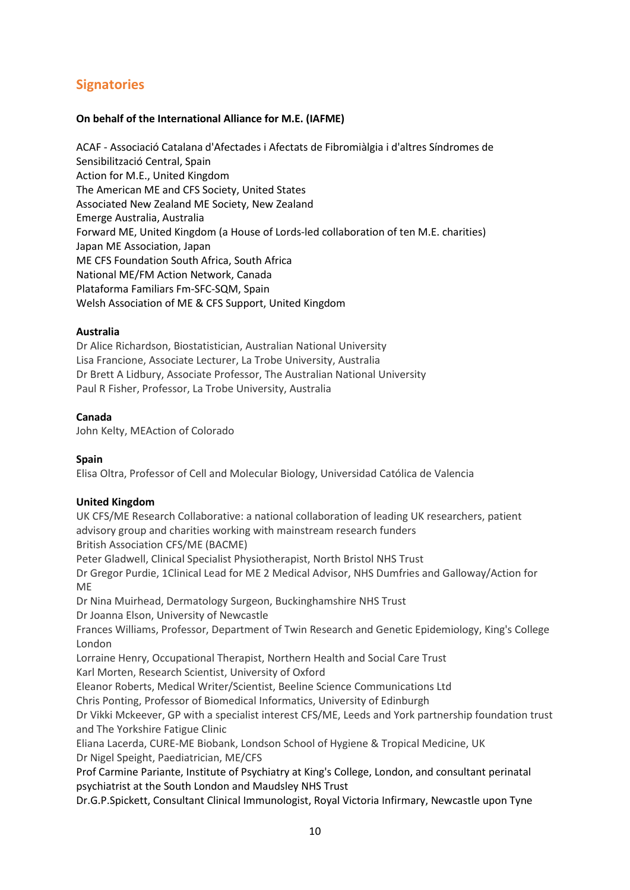# **Signatories**

### **On behalf of the International Alliance for M.E. (IAFME)**

ACAF - Associació Catalana d'Afectades i Afectats de Fibromiàlgia i d'altres Síndromes de Sensibilització Central, Spain Action for M.E., United Kingdom The American ME and CFS Society, United States Associated New Zealand ME Society, New Zealand Emerge Australia, Australia Forward ME, United Kingdom (a House of Lords-led collaboration of ten M.E. charities) Japan ME Association, Japan ME CFS Foundation South Africa, South Africa National ME/FM Action Network, Canada Plataforma Familiars Fm-SFC-SQM, Spain Welsh Association of ME & CFS Support, United Kingdom

#### **Australia**

Dr Alice Richardson, Biostatistician, Australian National University Lisa Francione, Associate Lecturer, La Trobe University, Australia Dr Brett A Lidbury, Associate Professor, The Australian National University Paul R Fisher, Professor, La Trobe University, Australia

#### **Canada**

John Kelty, MEAction of Colorado

### **Spain**

Elisa Oltra, Professor of Cell and Molecular Biology, Universidad Católica de Valencia

### **United Kingdom**

UK CFS/ME Research Collaborative: a national collaboration of leading UK researchers, patient advisory group and charities working with mainstream research funders British Association CFS/ME (BACME)

Peter Gladwell, Clinical Specialist Physiotherapist, North Bristol NHS Trust

Dr Gregor Purdie, 1Clinical Lead for ME 2 Medical Advisor, NHS Dumfries and Galloway/Action for ME

Dr Nina Muirhead, Dermatology Surgeon, Buckinghamshire NHS Trust

Dr Joanna Elson, University of Newcastle

Frances Williams, Professor, Department of Twin Research and Genetic Epidemiology, King's College London

Lorraine Henry, Occupational Therapist, Northern Health and Social Care Trust

Karl Morten, Research Scientist, University of Oxford

Eleanor Roberts, Medical Writer/Scientist, Beeline Science Communications Ltd

Chris Ponting, Professor of Biomedical Informatics, University of Edinburgh

Dr Vikki Mckeever, GP with a specialist interest CFS/ME, Leeds and York partnership foundation trust and The Yorkshire Fatigue Clinic

Eliana Lacerda, CURE-ME Biobank, Londson School of Hygiene & Tropical Medicine, UK Dr Nigel Speight, Paediatrician, ME/CFS

Prof Carmine Pariante, Institute of Psychiatry at King's College, London, and consultant perinatal psychiatrist at the South London and Maudsley NHS Trust

Dr.G.P.Spickett, Consultant Clinical Immunologist, Royal Victoria Infirmary, Newcastle upon Tyne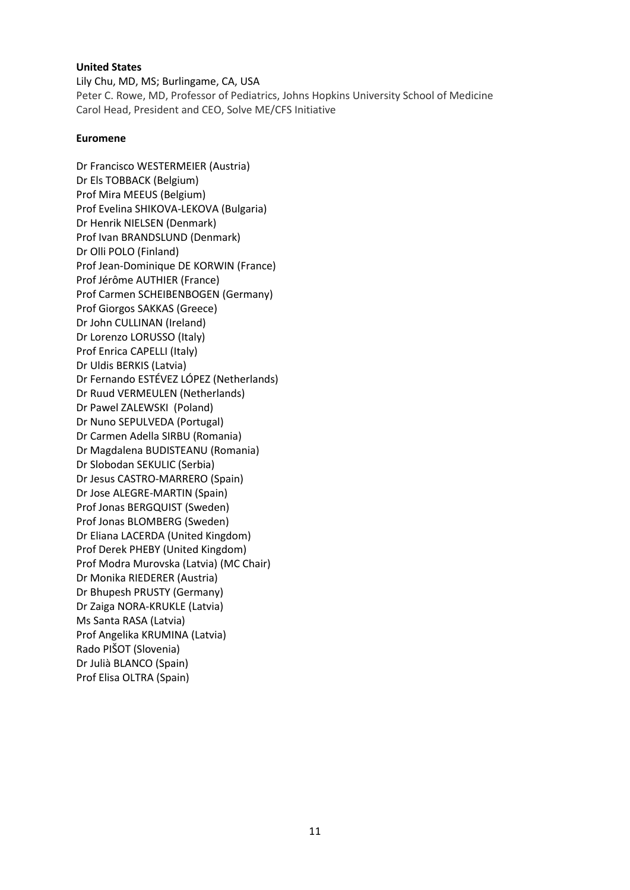#### **United States**

Lily Chu, MD, MS; Burlingame, CA, USA Peter C. Rowe, MD, Professor of Pediatrics, Johns Hopkins University School of Medicine Carol Head, President and CEO, Solve ME/CFS Initiative

#### **Euromene**

[Dr Francisco WESTERMEIER](https://www.cost.eu/actions/CA15111/211816) (Austria) [Dr Els TOBBACK](https://www.cost.eu/actions/CA15111/136984) (Belgium) [Prof Mira MEEUS](https://www.cost.eu/actions/CA15111/136820) (Belgium) [Prof Evelina SHIKOVA-LEKOVA](https://www.cost.eu/actions/CA15111/71880) (Bulgaria) [Dr Henrik NIELSEN](https://www.cost.eu/actions/CA15111/155678) (Denmark) [Prof Ivan BRANDSLUND](https://www.cost.eu/actions/CA15111/174225) (Denmark) [Dr Olli POLO](https://www.cost.eu/actions/CA15111/161460) (Finland) [Prof Jean-Dominique DE KORWIN](https://www.cost.eu/actions/CA15111/159620) (France) [Prof Jérôme AUTHIER](https://www.cost.eu/actions/CA15111/135943) (France) [Prof Carmen SCHEIBENBOGEN](https://www.cost.eu/actions/CA15111/31393) (Germany) [Prof Giorgos SAKKAS](https://www.cost.eu/actions/CA15111/87317) (Greece) [Dr John CULLINAN](https://www.cost.eu/actions/CA15111/170912) (Ireland) [Dr Lorenzo LORUSSO](https://www.cost.eu/actions/CA15111/115509) (Italy) [Prof Enrica CAPELLI](https://www.cost.eu/actions/CA15111/115515) (Italy) [Dr Uldis BERKIS](https://www.cost.eu/actions/CA15111/105016) (Latvia) [Dr Fernando ESTÉVEZ LÓPEZ](https://www.cost.eu/actions/CA15111/197450) (Netherlands) [Dr Ruud VERMEULEN](https://www.cost.eu/actions/CA15111/175928) (Netherlands) [Dr Pawel ZALEWSKI](https://www.cost.eu/actions/CA15111/206833) (Poland) [Dr Nuno SEPULVEDA](https://www.cost.eu/actions/CA15111/175843) (Portugal) [Dr Carmen Adella SIRBU](https://www.cost.eu/actions/CA15111/139077) (Romania) [Dr Magdalena BUDISTEANU](https://www.cost.eu/actions/CA15111/33101) (Romania) [Dr Slobodan SEKULIC](https://www.cost.eu/actions/CA15111/36234) (Serbia) [Dr Jesus CASTRO-MARRERO](https://www.cost.eu/actions/CA15111/110704) (Spain) [Dr Jose ALEGRE-MARTIN](https://www.cost.eu/actions/CA15111/113386) (Spain) [Prof Jonas BERGQUIST](https://www.cost.eu/actions/CA15111/33012) (Sweden) [Prof Jonas BLOMBERG](https://www.cost.eu/actions/CA15111/159198) (Sweden) [Dr Eliana LACERDA](https://www.cost.eu/actions/CA15111/111308) (United Kingdom) [Prof Derek PHEBY](https://www.cost.eu/actions/CA15111/136003) (United Kingdom) Prof Modra Murovska (Latvia) (MC Chair) [Dr Monika RIEDERER](https://www.cost.eu/actions/CA15111/211992) (Austria) [Dr Bhupesh PRUSTY](https://www.cost.eu/actions/CA15111/152863) (Germany) [Dr Zaiga NORA-KRUKLE](https://www.cost.eu/actions/CA15111/114662) (Latvia) [Ms Santa RASA](https://www.cost.eu/actions/CA15111/112686) (Latvia) [Prof Angelika KRUMINA](https://www.cost.eu/actions/CA15111/158877) (Latvia) [Rado PIŠOT](https://www.cost.eu/actions/CA15111/0) (Slovenia) [Dr Julià BLANCO](https://www.cost.eu/actions/CA15111/110786) (Spain) [Prof Elisa OLTRA](https://www.cost.eu/actions/CA15111/174839) (Spain)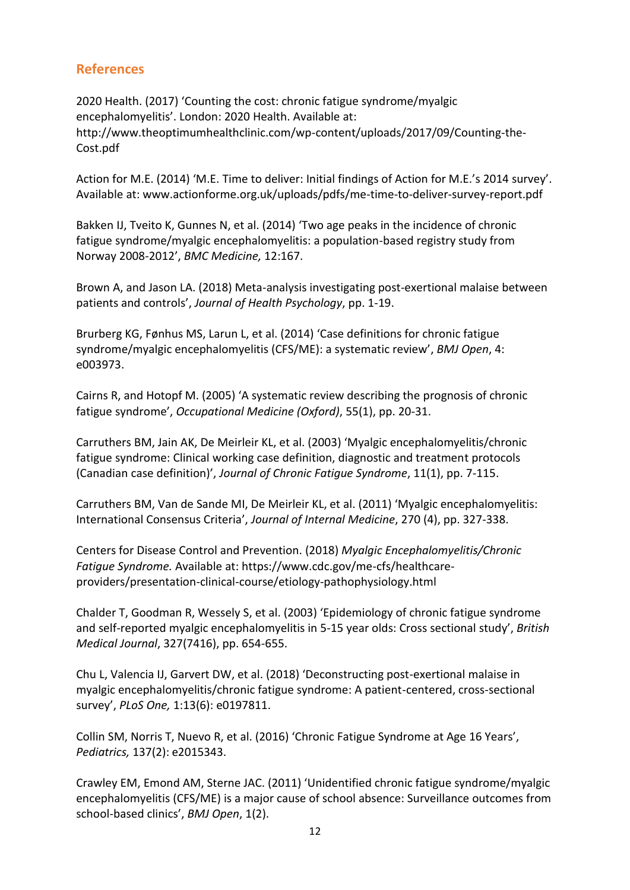# **References**

2020 Health. (2017) 'Counting the cost: chronic fatigue syndrome/myalgic encephalomyelitis'. London: 2020 Health. Available at: http://www.theoptimumhealthclinic.com/wp-content/uploads/2017/09/Counting-the-Cost.pdf

Action for M.E. (2014) 'M.E. Time to deliver: Initial findings of Action for M.E.'s 2014 survey'. Available at: www.actionforme.org.uk/uploads/pdfs/me-time-to-deliver-survey-report.pdf

Bakken IJ, Tveito K, Gunnes N, et al. (2014) 'Two age peaks in the incidence of chronic fatigue syndrome/myalgic encephalomyelitis: a population-based registry study from Norway 2008-2012', *BMC Medicine,* 12:167.

Brown A, and Jason LA. (2018) Meta-analysis investigating post-exertional malaise between patients and controls', *Journal of Health Psychology*, pp. 1-19.

Brurberg KG, Fønhus MS, Larun L, et al. (2014) 'Case definitions for chronic fatigue syndrome/myalgic encephalomyelitis (CFS/ME): a systematic review', *BMJ Open*, 4: e003973.

Cairns R, and Hotopf M. (2005) 'A systematic review describing the prognosis of chronic fatigue syndrome', *Occupational Medicine (Oxford)*, 55(1), pp. 20-31.

Carruthers BM, Jain AK, De Meirleir KL, et al. (2003) 'Myalgic encephalomyelitis/chronic fatigue syndrome: Clinical working case definition, diagnostic and treatment protocols (Canadian case definition)', *Journal of Chronic Fatigue Syndrome*, 11(1), pp. 7-115.

Carruthers BM, Van de Sande MI, De Meirleir KL, et al. (2011) 'Myalgic encephalomyelitis: International Consensus Criteria', *Journal of Internal Medicine*, 270 (4), pp. 327-338.

Centers for Disease Control and Prevention. (2018) *Myalgic Encephalomyelitis/Chronic Fatigue Syndrome.* Available at: https://www.cdc.gov/me-cfs/healthcareproviders/presentation-clinical-course/etiology-pathophysiology.html

Chalder T, Goodman R, Wessely S, et al. (2003) 'Epidemiology of chronic fatigue syndrome and self-reported myalgic encephalomyelitis in 5-15 year olds: Cross sectional study', *British Medical Journal*, 327(7416), pp. 654-655.

Chu L, Valencia IJ, Garvert DW, et al. (2018) 'Deconstructing post-exertional malaise in myalgic encephalomyelitis/chronic fatigue syndrome: A patient-centered, cross-sectional survey', *PLoS One,* 1:13(6): e0197811.

Collin SM, Norris T, Nuevo R, et al. (2016) 'Chronic Fatigue Syndrome at Age 16 Years', *Pediatrics,* 137(2): e2015343.

Crawley EM, Emond AM, Sterne JAC. (2011) 'Unidentified chronic fatigue syndrome/myalgic encephalomyelitis (CFS/ME) is a major cause of school absence: Surveillance outcomes from school-based clinics', *BMJ Open*, 1(2).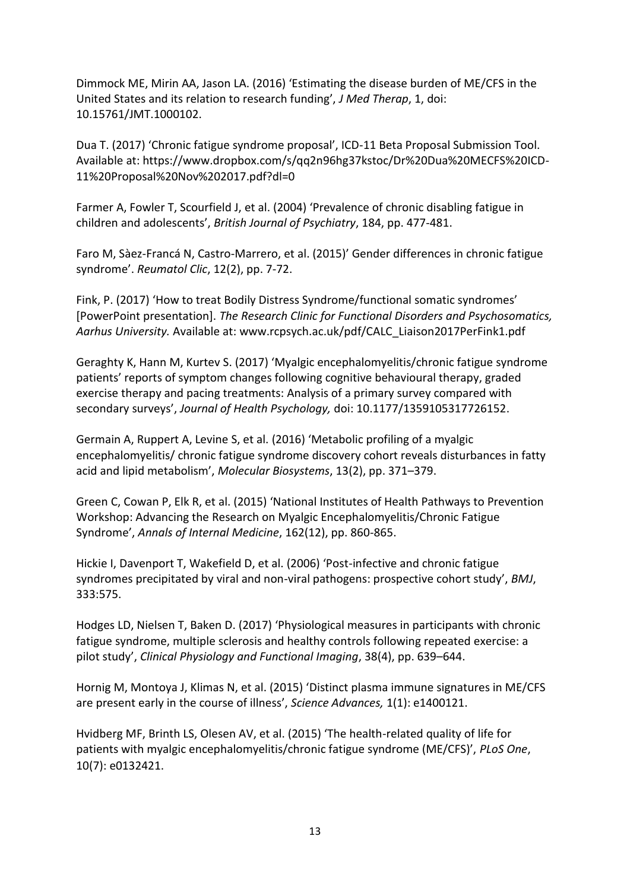Dimmock ME, Mirin AA, Jason LA. (2016) 'Estimating the disease burden of ME/CFS in the United States and its relation to research funding', *J Med Therap*, 1, doi: 10.15761/JMT.1000102.

Dua T. (2017) 'Chronic fatigue syndrome proposal', ICD-11 Beta Proposal Submission Tool. Available at: https://www.dropbox.com/s/qq2n96hg37kstoc/Dr%20Dua%20MECFS%20ICD-11%20Proposal%20Nov%202017.pdf?dl=0

Farmer A, Fowler T, Scourfield J, et al. (2004) 'Prevalence of chronic disabling fatigue in children and adolescents', *British Journal of Psychiatry*, 184, pp. 477-481.

Faro M, Sàez-Francá N, Castro-Marrero, et al. (2015)' Gender differences in chronic fatigue syndrome'. *Reumatol Clic*, 12(2), pp. 7-72.

Fink, P. (2017) 'How to treat Bodily Distress Syndrome/functional somatic syndromes' [PowerPoint presentation]. *The Research Clinic for Functional Disorders and Psychosomatics, Aarhus University.* Available at: www.rcpsych.ac.uk/pdf/CALC\_Liaison2017PerFink1.pdf

Geraghty K, Hann M, Kurtev S. (2017) 'Myalgic encephalomyelitis/chronic fatigue syndrome patients' reports of symptom changes following cognitive behavioural therapy, graded exercise therapy and pacing treatments: Analysis of a primary survey compared with secondary surveys', *Journal of Health Psychology,* doi: 10.1177/1359105317726152.

Germain A, Ruppert A, Levine S, et al. (2016) 'Metabolic profiling of a myalgic encephalomyelitis/ chronic fatigue syndrome discovery cohort reveals disturbances in fatty acid and lipid metabolism', *Molecular Biosystems*, 13(2), pp. 371–379.

Green C, Cowan P, Elk R, et al. (2015) 'National Institutes of Health Pathways to Prevention Workshop: Advancing the Research on Myalgic Encephalomyelitis/Chronic Fatigue Syndrome', *Annals of Internal Medicine*, 162(12), pp. 860-865.

Hickie I, Davenport T, Wakefield D, et al. (2006) 'Post-infective and chronic fatigue syndromes precipitated by viral and non-viral pathogens: prospective cohort study', *BMJ*, 333:575.

Hodges LD, Nielsen T, Baken D. (2017) 'Physiological measures in participants with chronic fatigue syndrome, multiple sclerosis and healthy controls following repeated exercise: a pilot study', *Clinical Physiology and Functional Imaging*, 38(4), pp. 639–644.

Hornig M, Montoya J, Klimas N, et al. (2015) 'Distinct plasma immune signatures in ME/CFS are present early in the course of illness', *Science Advances,* 1(1): e1400121.

Hvidberg MF, Brinth LS, Olesen AV, et al. (2015) 'The health-related quality of life for patients with myalgic encephalomyelitis/chronic fatigue syndrome (ME/CFS)', *PLoS One*, 10(7): e0132421.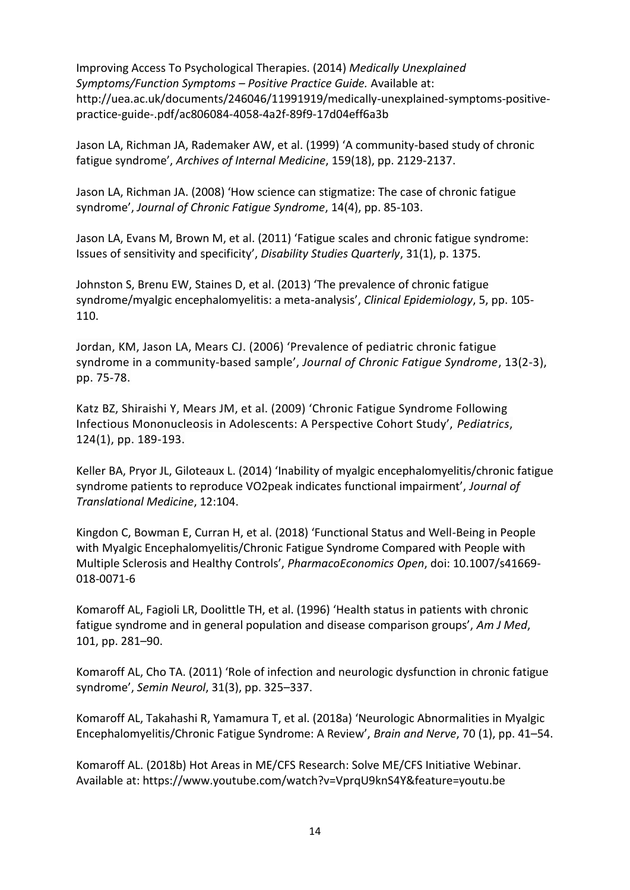Improving Access To Psychological Therapies. (2014) *Medically Unexplained Symptoms/Function Symptoms – Positive Practice Guide.* Available at: http://uea.ac.uk/documents/246046/11991919/medically-unexplained-symptoms-positivepractice-guide-.pdf/ac806084-4058-4a2f-89f9-17d04eff6a3b

Jason LA, Richman JA, Rademaker AW, et al. (1999) 'A community-based study of chronic fatigue syndrome', *Archives of Internal Medicine*, 159(18), pp. 2129-2137.

Jason LA, Richman JA. (2008) 'How science can stigmatize: The case of chronic fatigue syndrome', *Journal of Chronic Fatigue Syndrome*, 14(4), pp. 85-103.

Jason LA, Evans M, Brown M, et al. (2011) 'Fatigue scales and chronic fatigue syndrome: Issues of sensitivity and specificity', *Disability Studies Quarterly*, 31(1), p. 1375.

Johnston S, Brenu EW, Staines D, et al. (2013) 'The prevalence of chronic fatigue syndrome/myalgic encephalomyelitis: a meta-analysis', *Clinical Epidemiology*, 5, pp. 105- 110.

Jordan, KM, Jason LA, Mears CJ. (2006) 'Prevalence of pediatric chronic fatigue syndrome in a community-based sample', *Journal of Chronic Fatigue Syndrome*, 13(2-3), pp. 75-78.

Katz BZ, Shiraishi Y, Mears JM, et al. (2009) 'Chronic Fatigue Syndrome Following Infectious Mononucleosis in Adolescents: A Perspective Cohort Study', *Pediatrics*, 124(1), pp. 189-193.

Keller BA, Pryor JL, Giloteaux L. (2014) 'Inability of myalgic encephalomyelitis/chronic fatigue syndrome patients to reproduce VO2peak indicates functional impairment', *Journal of Translational Medicine*, 12:104.

Kingdon C, Bowman E, Curran H, et al. (2018) 'Functional Status and Well-Being in People with Myalgic Encephalomyelitis/Chronic Fatigue Syndrome Compared with People with Multiple Sclerosis and Healthy Controls', *PharmacoEconomics Open*, doi: 10.1007/s41669- 018-0071-6

Komaroff AL, Fagioli LR, Doolittle TH, et al. (1996) 'Health status in patients with chronic fatigue syndrome and in general population and disease comparison groups', *Am J Med*, 101, pp. 281–90.

Komaroff AL, Cho TA. (2011) 'Role of infection and neurologic dysfunction in chronic fatigue syndrome', *Semin Neurol*, 31(3), pp. 325–337.

Komaroff AL, Takahashi R, Yamamura T, et al. (2018a) 'Neurologic Abnormalities in Myalgic Encephalomyelitis/Chronic Fatigue Syndrome: A Review', *Brain and Nerve*, 70 (1), pp. 41–54.

Komaroff AL. (2018b) Hot Areas in ME/CFS Research: Solve ME/CFS Initiative Webinar. Available at: https://www.youtube.com/watch?v=VprqU9knS4Y&feature=youtu.be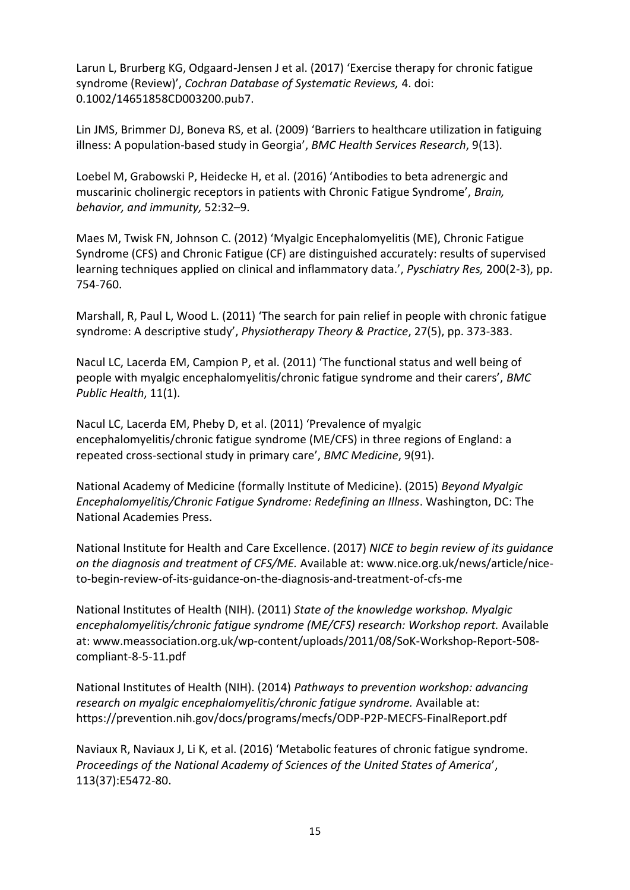Larun L, Brurberg KG, Odgaard-Jensen J et al. (2017) 'Exercise therapy for chronic fatigue syndrome (Review)', *Cochran Database of Systematic Reviews,* 4. doi: 0.1002/14651858CD003200.pub7.

Lin JMS, Brimmer DJ, Boneva RS, et al. (2009) 'Barriers to healthcare utilization in fatiguing illness: A population-based study in Georgia', *BMC Health Services Research*, 9(13).

Loebel M, Grabowski P, Heidecke H, et al. (2016) 'Antibodies to beta adrenergic and muscarinic cholinergic receptors in patients with Chronic Fatigue Syndrome', *Brain, behavior, and immunity,* 52:32–9.

Maes M, Twisk FN, Johnson C. (2012) 'Myalgic Encephalomyelitis (ME), Chronic Fatigue Syndrome (CFS) and Chronic Fatigue (CF) are distinguished accurately: results of supervised learning techniques applied on clinical and inflammatory data.', *Pyschiatry Res,* 200(2-3), pp. 754-760.

Marshall, R, Paul L, Wood L. (2011) 'The search for pain relief in people with chronic fatigue syndrome: A descriptive study', *Physiotherapy Theory & Practice*, 27(5), pp. 373-383.

Nacul LC, Lacerda EM, Campion P, et al. (2011) 'The functional status and well being of people with myalgic encephalomyelitis/chronic fatigue syndrome and their carers', *BMC Public Health*, 11(1).

Nacul LC, Lacerda EM, Pheby D, et al. (2011) 'Prevalence of myalgic encephalomyelitis/chronic fatigue syndrome (ME/CFS) in three regions of England: a repeated cross-sectional study in primary care', *BMC Medicine*, 9(91).

National Academy of Medicine (formally Institute of Medicine). (2015) *Beyond Myalgic Encephalomyelitis/Chronic Fatigue Syndrome: Redefining an Illness*. Washington, DC: The National Academies Press.

National Institute for Health and Care Excellence. (2017) *NICE to begin review of its guidance on the diagnosis and treatment of CFS/ME.* Available at: www.nice.org.uk/news/article/niceto-begin-review-of-its-guidance-on-the-diagnosis-and-treatment-of-cfs-me

National Institutes of Health (NIH). (2011) *State of the knowledge workshop. Myalgic encephalomyelitis/chronic fatigue syndrome (ME/CFS) research: Workshop report.* Available at: www.meassociation.org.uk/wp-content/uploads/2011/08/SoK-Workshop-Report-508 compliant-8-5-11.pdf

National Institutes of Health (NIH). (2014) *Pathways to prevention workshop: advancing research on myalgic encephalomyelitis/chronic fatigue syndrome.* Available at: https://prevention.nih.gov/docs/programs/mecfs/ODP-P2P-MECFS-FinalReport.pdf

Naviaux R, Naviaux J, Li K, et al. (2016) 'Metabolic features of chronic fatigue syndrome. *Proceedings of the National Academy of Sciences of the United States of America*', 113(37):E5472-80.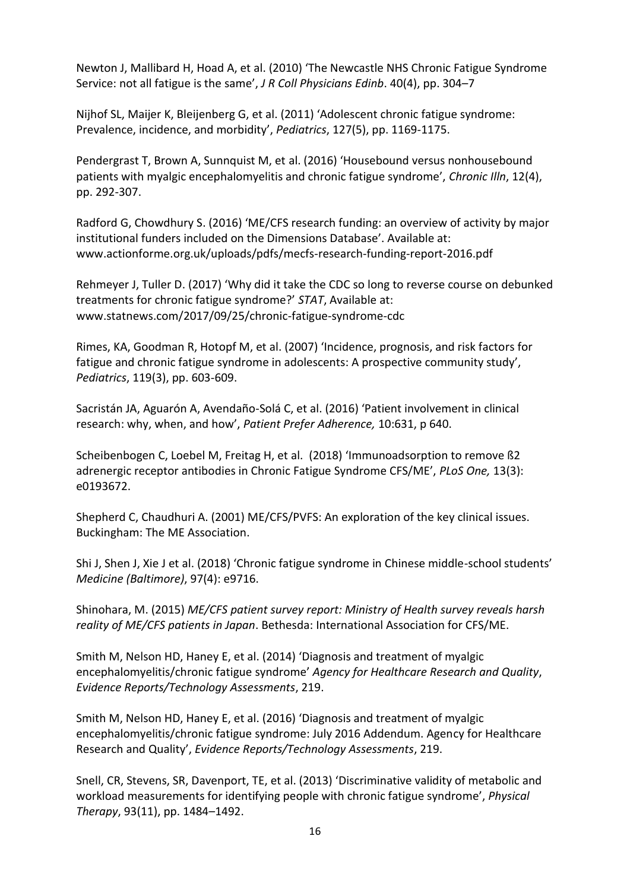Newton J, Mallibard H, Hoad A, et al. (2010) 'The Newcastle NHS Chronic Fatigue Syndrome Service: not all fatigue is the same', *J R Coll Physicians Edinb*. 40(4), pp. 304–7

Nijhof SL, Maijer K, Bleijenberg G, et al. (2011) 'Adolescent chronic fatigue syndrome: Prevalence, incidence, and morbidity', *Pediatrics*, 127(5), pp. 1169-1175.

Pendergrast T, Brown A, Sunnquist M, et al. (2016) 'Housebound versus nonhousebound patients with myalgic encephalomyelitis and chronic fatigue syndrome', *Chronic Illn*, 12(4), pp. 292-307.

Radford G, Chowdhury S. (2016) 'ME/CFS research funding: an overview of activity by major institutional funders included on the Dimensions Database'. Available at: www.actionforme.org.uk/uploads/pdfs/mecfs-research-funding-report-2016.pdf

Rehmeyer J, Tuller D. (2017) 'Why did it take the CDC so long to reverse course on debunked treatments for chronic fatigue syndrome?' *STAT*, Available at: www.statnews.com/2017/09/25/chronic-fatigue-syndrome-cdc

Rimes, KA, Goodman R, Hotopf M, et al. (2007) 'Incidence, prognosis, and risk factors for fatigue and chronic fatigue syndrome in adolescents: A prospective community study', *Pediatrics*, 119(3), pp. 603-609.

Sacristán JA, Aguarón A, Avendaño-Solá C, et al. (2016) 'Patient involvement in clinical research: why, when, and how', *Patient Prefer Adherence,* 10:631, p 640.

Scheibenbogen C, Loebel M, Freitag H, et al. (2018) 'Immunoadsorption to remove ß2 adrenergic receptor antibodies in Chronic Fatigue Syndrome CFS/ME', *PLoS One,* 13(3): e0193672.

Shepherd C, Chaudhuri A. (2001) ME/CFS/PVFS: An exploration of the key clinical issues. Buckingham: The ME Association.

Shi J, Shen J, Xie J et al. (2018) 'Chronic fatigue syndrome in Chinese middle-school students' *Medicine (Baltimore)*, 97(4): e9716.

Shinohara, M. (2015) *ME/CFS patient survey report: Ministry of Health survey reveals harsh reality of ME/CFS patients in Japan*. Bethesda: International Association for CFS/ME.

Smith M, Nelson HD, Haney E, et al. (2014) 'Diagnosis and treatment of myalgic encephalomyelitis/chronic fatigue syndrome' *Agency for Healthcare Research and Quality*, *Evidence Reports/Technology Assessments*, 219.

Smith M, Nelson HD, Haney E, et al. (2016) 'Diagnosis and treatment of myalgic encephalomyelitis/chronic fatigue syndrome: July 2016 Addendum. Agency for Healthcare Research and Quality', *Evidence Reports/Technology Assessments*, 219.

Snell, CR, Stevens, SR, Davenport, TE, et al. (2013) 'Discriminative validity of metabolic and workload measurements for identifying people with chronic fatigue syndrome', *Physical Therapy*, 93(11), pp. 1484–1492.